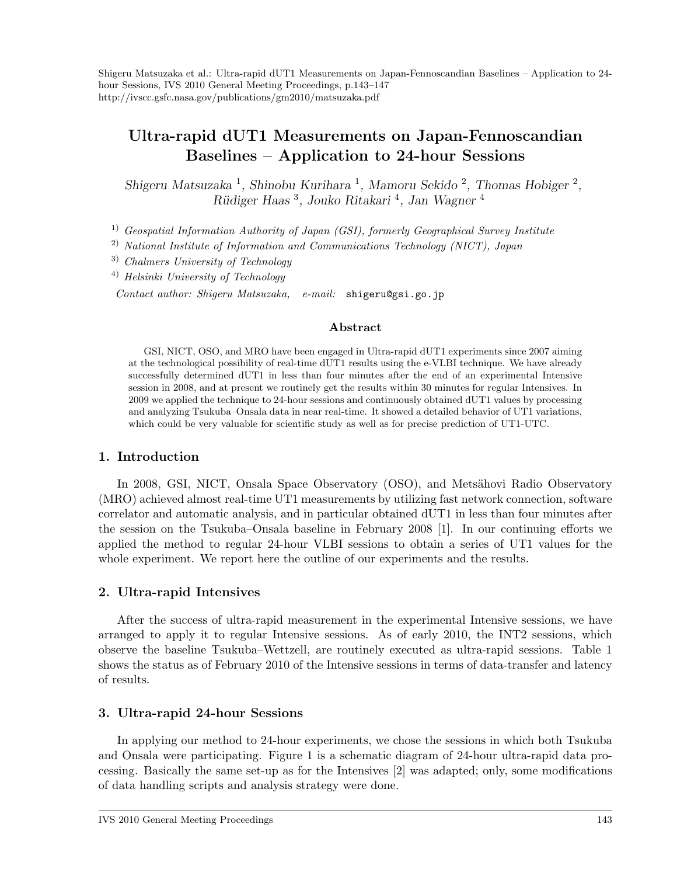Shigeru Matsuzaka et al.: Ultra-rapid dUT1 Measurements on Japan-Fennoscandian Baselines – Application to 24 hour Sessions, IVS 2010 General Meeting Proceedings, p.143–147 http://ivscc.gsfc.nasa.gov/publications/gm2010/matsuzaka.pdf

# Ultra-rapid dUT1 Measurements on Japan-Fennoscandian Baselines – Application to 24-hour Sessions

Shigeru Matsuzaka<sup>1</sup>, Shinobu Kurihara<sup>1</sup>, Mamoru Sekido<sup>2</sup>, Thomas Hobiger<sup>2</sup>, Rüdiger Haas<sup>3</sup>, Jouko Ritakari<sup>4</sup>, Jan Wagner<sup>4</sup>

<sup>1)</sup> Geospatial Information Authority of Japan (GSI), formerly Geographical Survey Institute

2) National Institute of Information and Communications Technology (NICT), Japan

3) Chalmers University of Technology

4) Helsinki University of Technology

Contact author: Shigeru Matsuzaka, e-mail: shigeru@gsi.go.jp

### Abstract

GSI, NICT, OSO, and MRO have been engaged in Ultra-rapid dUT1 experiments since 2007 aiming at the technological possibility of real-time dUT1 results using the e-VLBI technique. We have already successfully determined dUT1 in less than four minutes after the end of an experimental Intensive session in 2008, and at present we routinely get the results within 30 minutes for regular Intensives. In 2009 we applied the technique to 24-hour sessions and continuously obtained dUT1 values by processing and analyzing Tsukuba–Onsala data in near real-time. It showed a detailed behavior of UT1 variations, which could be very valuable for scientific study as well as for precise prediction of UT1-UTC.

# 1. Introduction

In 2008, GSI, NICT, Onsala Space Observatory (OSO), and Metsähovi Radio Observatory (MRO) achieved almost real-time UT1 measurements by utilizing fast network connection, software correlator and automatic analysis, and in particular obtained dUT1 in less than four minutes after the session on the Tsukuba–Onsala baseline in February 2008 [1]. In our continuing efforts we applied the method to regular 24-hour VLBI sessions to obtain a series of UT1 values for the whole experiment. We report here the outline of our experiments and the results.

# 2. Ultra-rapid Intensives

After the success of ultra-rapid measurement in the experimental Intensive sessions, we have arranged to apply it to regular Intensive sessions. As of early 2010, the INT2 sessions, which observe the baseline Tsukuba–Wettzell, are routinely executed as ultra-rapid sessions. Table 1 shows the status as of February 2010 of the Intensive sessions in terms of data-transfer and latency of results.

# 3. Ultra-rapid 24-hour Sessions

In applying our method to 24-hour experiments, we chose the sessions in which both Tsukuba and Onsala were participating. Figure 1 is a schematic diagram of 24-hour ultra-rapid data processing. Basically the same set-up as for the Intensives [2] was adapted; only, some modifications of data handling scripts and analysis strategy were done.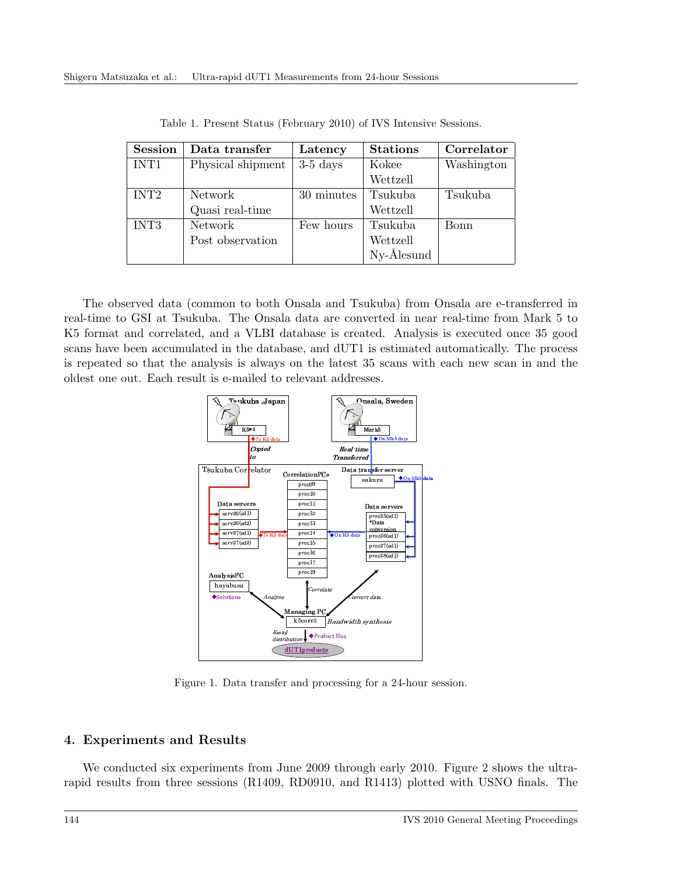| <b>Session</b>   | Data transfer     | Latency    | <b>Stations</b> | Correlator |
|------------------|-------------------|------------|-----------------|------------|
| INT <sub>1</sub> | Physical shipment | $3-5$ days | Kokee           | Washington |
|                  |                   |            | Wettzell        |            |
| INT <sub>2</sub> | Network           | 30 minutes | Tsukuba         | Tsukuba    |
|                  | Quasi real-time   |            | Wettzell        |            |
| INT3             | Network           | Few hours  | Tsukuba         | Bonn       |
|                  | Post observation  |            | Wettzell        |            |
|                  |                   |            | Ny-Ålesund      |            |

Table 1. Present Status (February 2010) of IVS Intensive Sessions.

The observed data (common to both Onsala and Tsukuba) from Onsala are e-transferred in real-time to GSI at Tsukuba. The Onsala data are converted in near real-time from Mark 5 to K5 format and correlated, and a VLBI database is created. Analysis is executed once 35 good scans have been accumulated in the database, and dUT1 is estimated automatically. The process is repeated so that the analysis is always on the latest 35 scans with each new scan in and the oldest one out. Each result is e-mailed to relevant addresses.



Figure 1. Data transfer and processing for a 24-hour session.

#### 4. Experiments and Results

We conducted six experiments from June 2009 through early 2010. Figure 2 shows the ultrarapid results from three sessions (R1409, RD0910, and R1413) plotted with USNO finals. The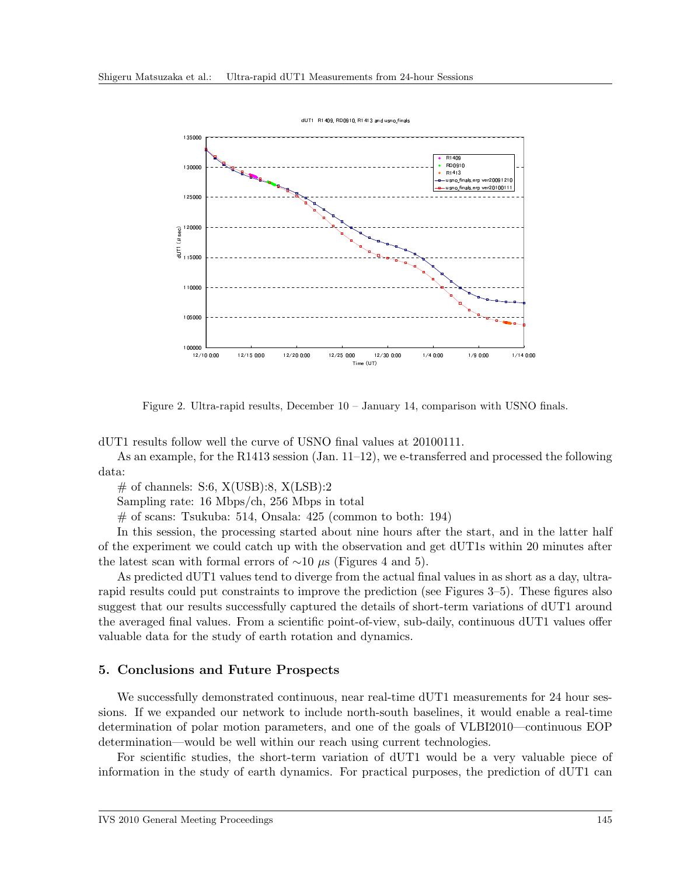

Figure 2. Ultra-rapid results, December 10 – January 14, comparison with USNO finals.

dUT1 results follow well the curve of USNO final values at 20100111.

As an example, for the R1413 session (Jan.  $11-12$ ), we e-transferred and processed the following data:

 $\#$  of channels: S:6, X(USB):8, X(LSB):2

Sampling rate: 16 Mbps/ch, 256 Mbps in total

 $#$  of scans: Tsukuba: 514, Onsala: 425 (common to both: 194)

In this session, the processing started about nine hours after the start, and in the latter half of the experiment we could catch up with the observation and get dUT1s within 20 minutes after the latest scan with formal errors of  $\sim$ 10 µs (Figures 4 and 5).

As predicted dUT1 values tend to diverge from the actual final values in as short as a day, ultrarapid results could put constraints to improve the prediction (see Figures 3–5). These figures also suggest that our results successfully captured the details of short-term variations of dUT1 around the averaged final values. From a scientific point-of-view, sub-daily, continuous dUT1 values offer valuable data for the study of earth rotation and dynamics.

#### 5. Conclusions and Future Prospects

We successfully demonstrated continuous, near real-time dUT1 measurements for 24 hour sessions. If we expanded our network to include north-south baselines, it would enable a real-time determination of polar motion parameters, and one of the goals of VLBI2010—continuous EOP determination—would be well within our reach using current technologies.

For scientific studies, the short-term variation of dUT1 would be a very valuable piece of information in the study of earth dynamics. For practical purposes, the prediction of dUT1 can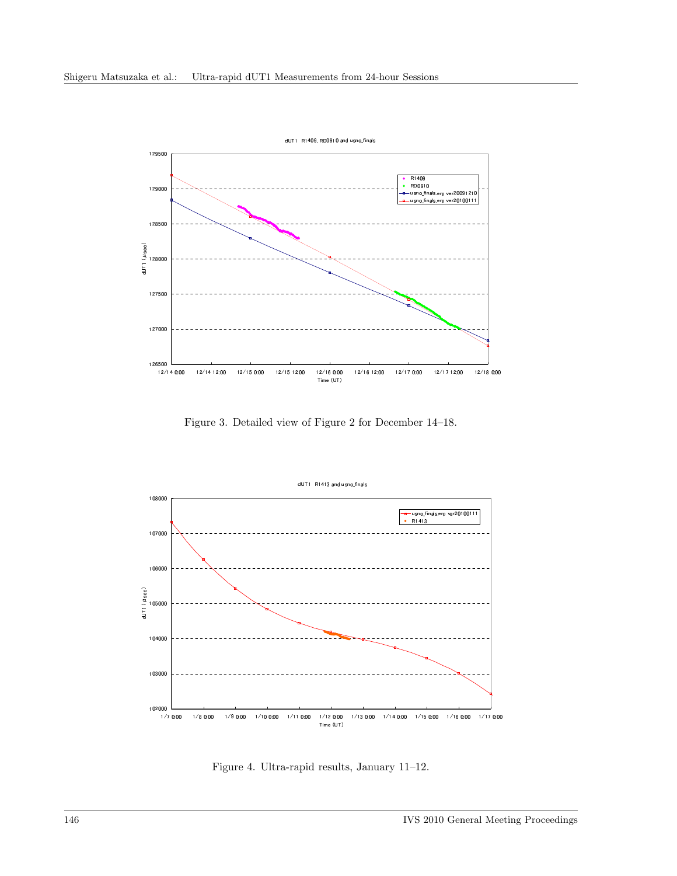

Figure 3. Detailed view of Figure 2 for December 14-18.



Figure 4. Ultra-rapid results, January 11-12.